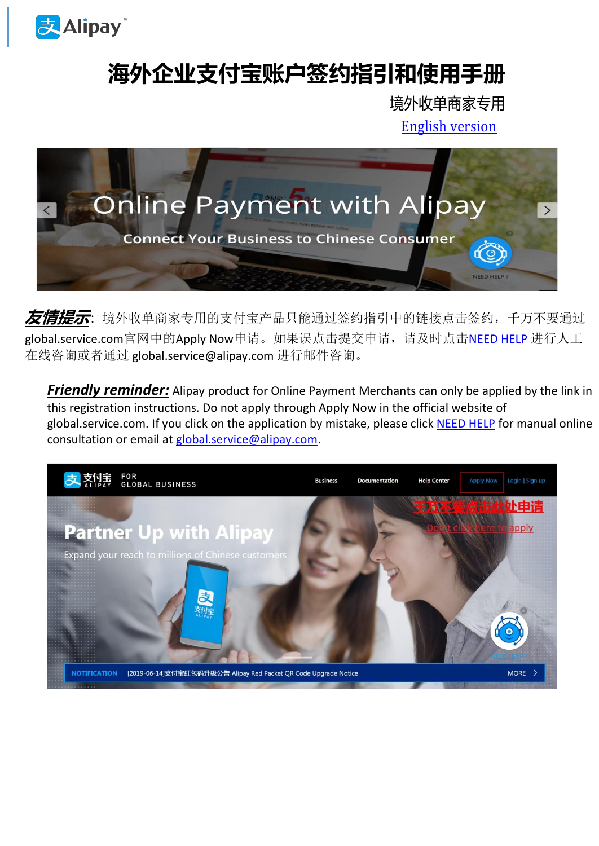

## **海外企业支付宝账户签约指引和使用手册**

境外收单商家专用

[English version](#page-6-0)



**友情提示**:境外收单商家专用的支付宝产品只能通过签约指引中的链接点击签约,千万不要通过 global.service.com官网中的Apply Now申请。如果误点击提交申请,请及时点击[NEED HELP](https://cschannel.alipay.com/mada.htm?scene=17050a1195fca047&envType=3) 进行人工 在线咨询或者通过 global.service@alipay.com 进行邮件咨询。

**Friendly reminder:** Alipay product for Online Payment Merchants can only be applied by the link in this registration instructions. Do not apply through Apply Now in the official website of global.service.com. If you click on the application by mistake, please click [NEED HELP](https://cschannel.alipay.com/mada.htm?scene=17050a1195fca047&envType=3) for manual online consultation or email at [global.service@alipay.com.](mailto:global.service@alipay.com)

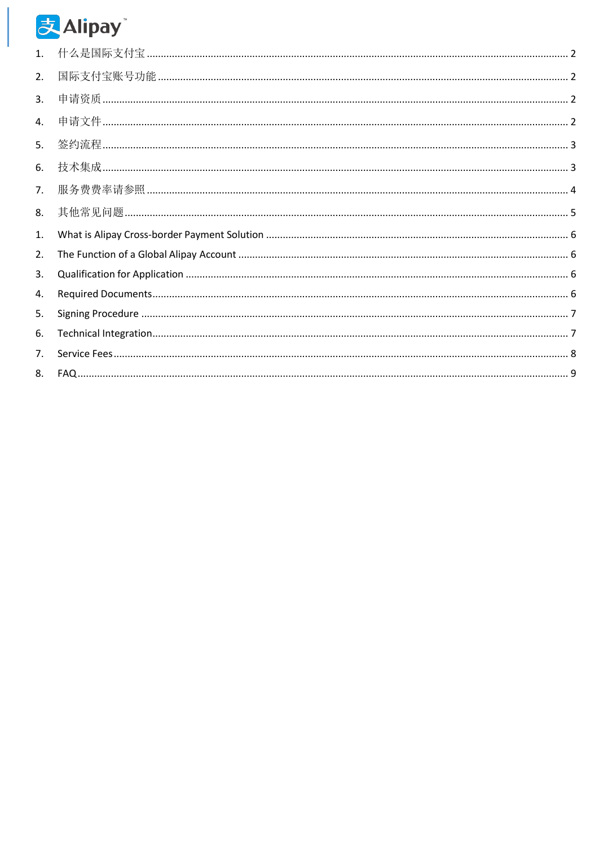# 支Alipay

<span id="page-1-0"></span>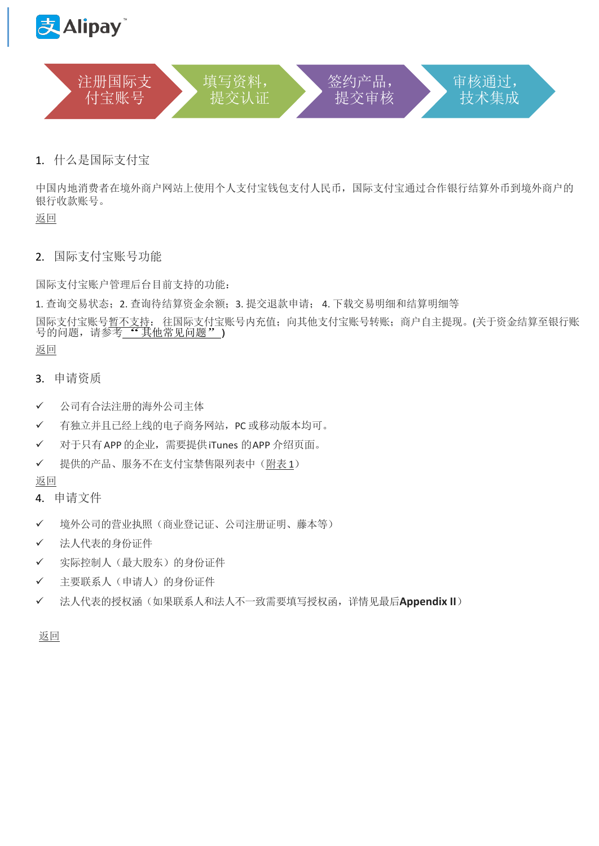<span id="page-2-0"></span>



1. 什么是国际支付宝

中国内地消费者在境外商户网站上使用个人支付宝钱包支付人民币,国际支付宝通过合作银行结算外币到境外商户的 银行收款账号。

[返回](#page-1-0)

<span id="page-2-1"></span>2. 国际支付宝账号功能

国际支付宝账户管理后台目前支持的功能:

1. 查询交易状态;2. 查询待结算资金余额;3. 提交退款申请; 4. 下载交易明细和结算明细等

国际支付宝账号<u>暂不支持</u>: 往国际支付宝账号内充值; 向其他支付宝账号转账; 商户自主提现。(关于资金结算至银行账<br>号的问题,请参考<u>"《其他常见问题"</u>)

[返回](#page-1-0)

- <span id="page-2-2"></span>3. 申请资质
- ✓ 公司有合法注册的海外公司主体
- ✓ 有独立并且已经上线的电子商务网站,PC 或移动版本均可。
- ✓ 对于只有APP 的企业,需要提供iTunes 的APP 介绍页面。
- ✓ 提供的产品、服务不在支付宝禁售限列表中[\(附表](#page-10-0) 1)
- [返回](#page-1-0)
- <span id="page-2-3"></span>4. 申请文件
- ✓ 境外公司的营业执照(商业登记证、公司注册证明、藤本等)
- ✓ 法人代表的身份证件
- ✓ 实际控制人(最大股东)的身份证件
- ✓ 主要联系人(申请人)的身份证件
- ✓ 法人代表的授权涵(如果联系人和法人不一致需要填写授权函,详情见最后**Appendix II**)

[返回](#page-1-0)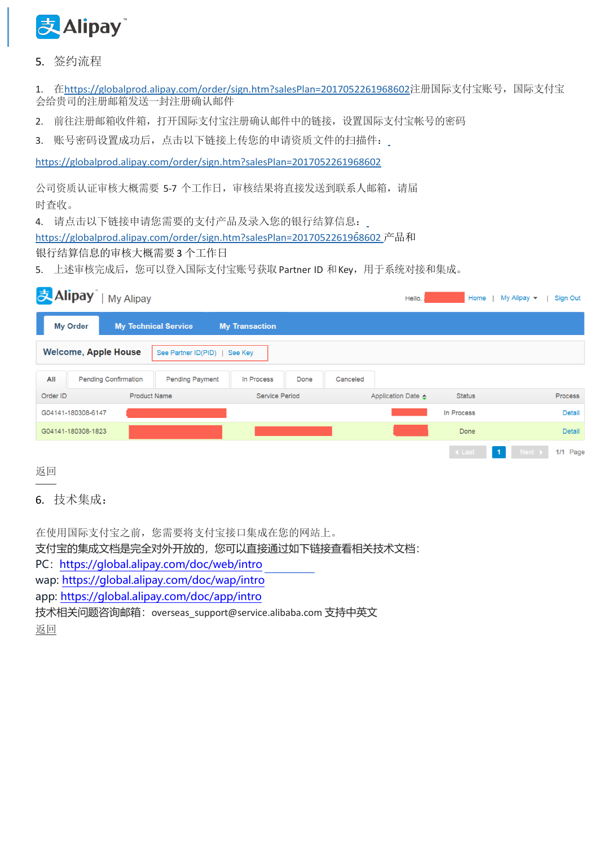

<span id="page-3-0"></span>5. 签约流程

1. 在<https://globalprod.alipay.com/order/sign.htm?salesPlan=2017052261968602>注册国际支付宝账号,国际支付宝 会给贵司的注册邮箱发送一封注册确认邮件

- 2. 前往注册邮箱收件箱,打开国际支付宝注册确认邮件中的链接,设置国际支付宝帐号的密码
- 3. 账号密码设置成功后,点击以下链接上传您的申请资质文件的扫描件:

<https://globalprod.alipay.com/order/sign.htm?salesPlan=2017052261968602>

公司资质认证审核大概需要 5-7 个工作日,审核结果将直接发送到联系人邮箱,请届 时查收。

4. 请点击以下链接申请您需要的支付产品及录入您的银行结算信息:

<https://globalprod.alipay.com/order/sign.htm?salesPlan=2017052261968602>产品和

## 银行结算信息的审核大概需要3 个工作日

5. 上述审核完成后,您可以登入国际支付宝账号获取 Partner ID 和 Key, 用于系统对接和集成。

| 支Alipay<br><b>My Alipay</b>        |                             |                       | Hello,             | Home          | My Alipay $\blacktriangledown$<br><b>Sign Out</b> |
|------------------------------------|-----------------------------|-----------------------|--------------------|---------------|---------------------------------------------------|
| <b>My Order</b>                    | <b>My Technical Service</b> | <b>My Transaction</b> |                    |               |                                                   |
| <b>Welcome, Apple House</b>        | See Partner ID(PID)         | See Key               |                    |               |                                                   |
| All<br><b>Pending Confirmation</b> | <b>Pending Payment</b>      | Done<br>In Process    | Canceled           |               |                                                   |
| Order ID                           | <b>Product Name</b>         | <b>Service Period</b> | Application Date ▲ | <b>Status</b> | <b>Process</b>                                    |
| G04141-180308-6147                 |                             |                       |                    | In Process    | <b>Detail</b>                                     |
| G04141-180308-1823                 |                             |                       |                    | Done          | <b>Detail</b>                                     |
|                                    |                             |                       |                    | ← Last        | $Next \rightarrow$<br>1/1 Page                    |

[返回](#page-1-0)

<span id="page-3-1"></span>6. 技术集成:

在使用国际支付宝之前,您需要将支付宝接口集成在您的网站上。 支付宝的集成文档是完全对外开放的,您可以直接通过如下链接查看相关技术文档: PC: <https://global.alipay.com/doc/web/intro> wap:<https://global.alipay.com/doc/wap/intro> app:<https://global.alipay.com/doc/app/intro> 技术相关问题咨询邮箱: [overseas\\_support@service.alibaba.com](mailto:overseas_support@service.alibaba.com) 支持中英文 [返回](#page-1-0)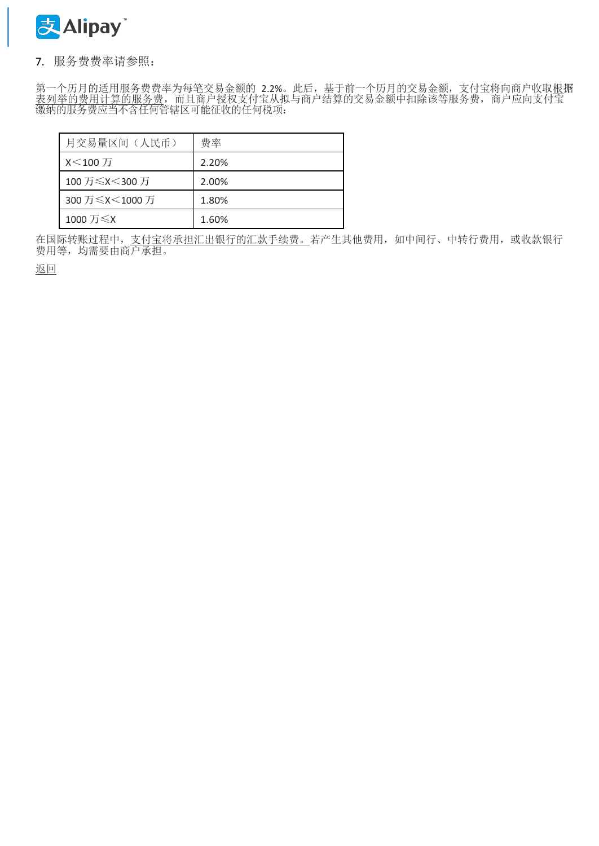

## <span id="page-4-0"></span>7. 服务费费率请参照:

第一个历月的适用服务费费率为每笔交易金额的 2.2%。此后,基于前一个历月的交易金额,支付宝将向商户收取<u>根</u>据 表列举的费用计算的服务费,而且商户授权支付宝从拟与商户结算的交易金额中扣除该等服务费,商户应向支付宝 缴纳的服务费应当不含任何管辖区可能征收的任何税项:

| 月交易量区间(人民币)    | 费率    |
|----------------|-------|
| X<100万         | 2.20% |
| 100 万≤X<300 万  | 2.00% |
| 300 万≤X<1000 万 | 1.80% |
| 1000 万≤X       | 1.60% |

在国际转账过程中, 支付宝将承担汇出银行的汇款手续费。若产生其他费用, 如中间行、中转行费用, 或收款银行 费用等,均需要由商户承担。

[返回](#page-1-0)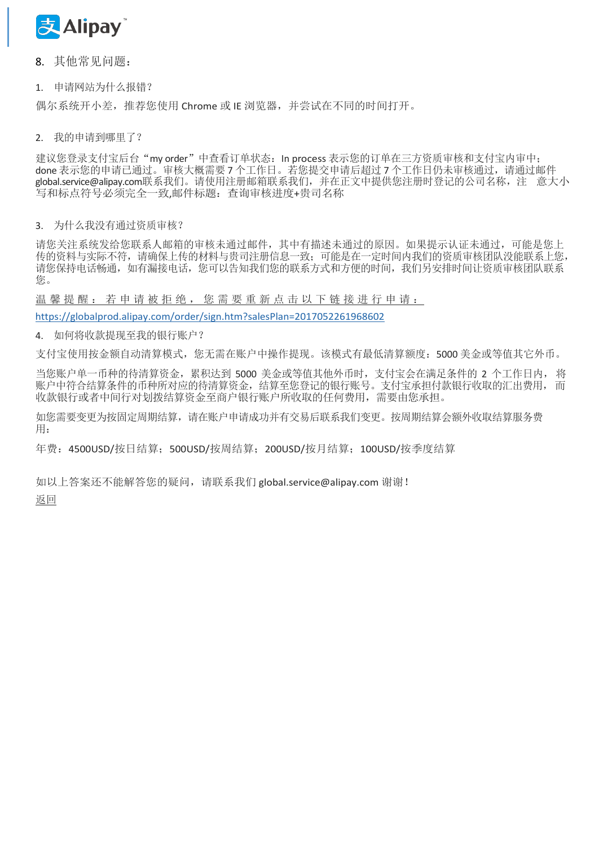

<span id="page-5-0"></span>8. 其他常见问题:

1. 申请网站为什么报错?

偶尔系统开小差,推荐您使用 Chrome 或 IE 浏览器,并尝试在不同的时间打开。

2. 我的申请到哪里了?

建议您登录支付宝后台"my order"中查看订单状态:In process 表示您的订单在三方资质审核和支付宝内审中; done 表示您的申请已通过。审核大概需要7个工作日。若您提交申请后超过7个工作日仍未审核通过,请通[过邮件](mailto:件global.service@alipay.com联系我们) [global.service@alipay.com](mailto:件global.service@alipay.com联系我们)联系我们。请使用注册邮箱联系我们,并在正文中提供您注册时登记的公司名称,注 意大小 写和标点符号必须完全一致,邮件标题:查询审核进度+贵司名称

#### 3. 为什么我没有通过资质审核?

请您关注系统发给您联系人邮箱的审核未通过邮件,其中有描述未通过的原因。如果提示认证未通过,可能是您上 传的资料与实际不符,请确保上传的材料与贵司注册信息一致;可能是在一定时间内我们的资质审核团队没能联系上您, 请您保持电话畅通,如有漏接电话,您可以告知我们您的联系方式和方便的时间,我们另安排时间让资质审核团队联系 您。

温 馨 提 醒: 若 申 请 被 拒 绝 , 您 需 要 重 新 点 击 以 下 链 接 进 行 申 请 :

<https://globalprod.alipay.com/order/sign.htm?salesPlan=2017052261968602>

4. 如何将收款提现至我的银行账户?

支付宝使用按金额自动清算模式,您无需在账户中操作提现。该模式有最低清算额度:5000 美金或等值其它外币。

当您账户单一币种的待清算资金,累积达到 5000 美金或等值其他外币时,支付宝会在满足条件的 2 个工作日内, 将 账户中符合结算条件的币种所对应的待清算资金,结算至您登记的银行账号。支付宝承担付款银行收取的汇出费用,而 收款银行或者中间行对划拨结算资金至商户银行账户所收取的任何费用,需要由您承担。

如您需要变更为按固定周期结算,请在账户申请成功并有交易后联系我们变更。按周期结算会额外收取结算服务费 用:

年费:4500USD/按日结算;500USD/按周结算;200USD/按月结算;100USD/按季度结算

如以上答案还不能解答您的疑问,请联系我们 [global.service@alipay.com](mailto:global.service@alipay.com) 谢谢! [返回](#page-1-0)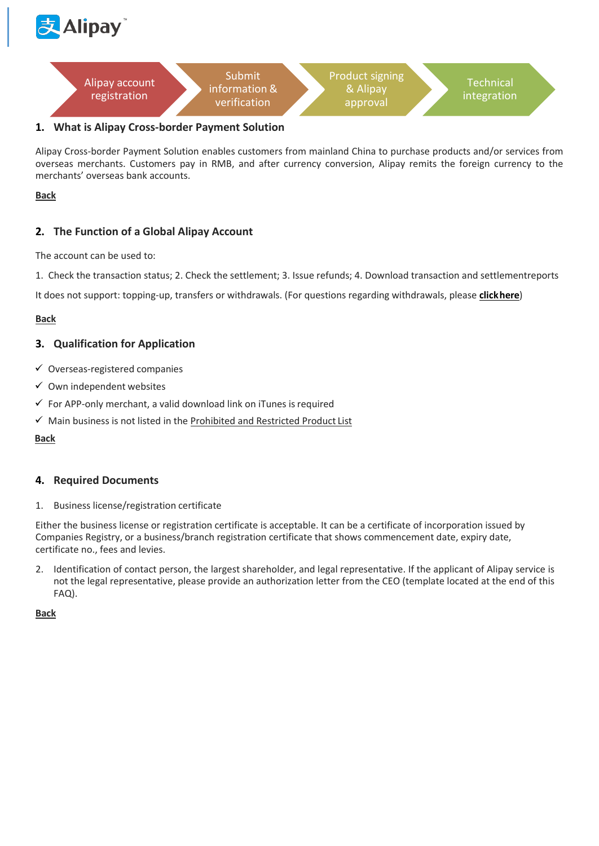<span id="page-6-1"></span>



## **1. What is Alipay Cross-border Payment Solution**

Alipay Cross-border Payment Solution enables customers from mainland China to purchase products and/or services from overseas merchants. Customers pay in RMB, and after currency conversion, Alipay remits the foreign currency to the merchants' overseas bank accounts.

#### <span id="page-6-0"></span>**[Back](#page-1-0)**

## <span id="page-6-2"></span>**2. The Function of a Global Alipay Account**

The account can be used to:

1. Check the transaction status; 2. Check the settlement; 3. Issue refunds; 4. Download transaction and settlementreports

It does not support: topping-up, transfers or withdrawals. (For questions regarding withdrawals, please **[clickhere](#page-9-0)**)

#### **[Back](#page-1-0)**

## <span id="page-6-3"></span>**3. Qualification for Application**

- ✓ Overseas-registered companies
- $\checkmark$  Own independent websites
- $\checkmark$  For APP-only merchant, a valid download link on iTunes is required
- ✓ Main business is not listed in th[e Prohibited and Restricted Product](#page-10-0) List

#### **[Back](#page-1-0)**

#### <span id="page-6-4"></span>**4. Required Documents**

1. Business license/registration certificate

Either the business license or registration certificate is acceptable. It can be a certificate of incorporation issued by Companies Registry, or a business/branch registration certificate that shows commencement date, expiry date, certificate no., fees and levies.

2. Identification of contact person, the largest shareholder, and legal representative. If the applicant of Alipay service is not the legal representative, please provide an authorization letter from the CEO (template located at the end of this FAQ).

**[Back](#page-1-0)**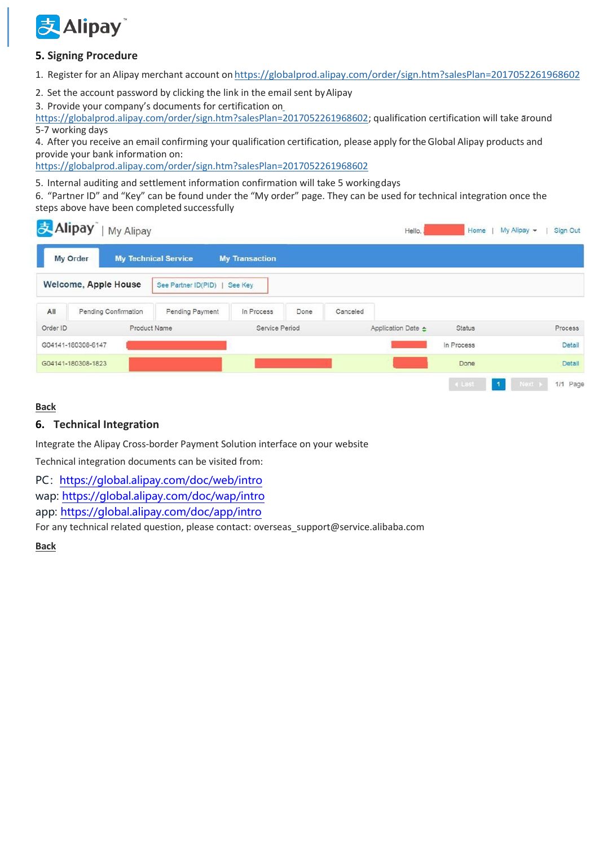

## <span id="page-7-0"></span>**5. Signing Procedure**

1. Register for an Alipay merchant account on <https://globalprod.alipay.com/order/sign.htm?salesPlan=2017052261968602>

2. Set the account password by clicking the link in the email sent byAlipay

3. Provide your company's documents for certification on

[https://globalprod.alipay.com/order/sign.htm?salesPlan=2017052261968602;](https://globalprod.alipay.com/order/sign.htm?salesPlan=2017052261968602) qualification certification will take around 5-7 working days

4. After you receive an email confirming your qualification certification, please apply fortheGlobal Alipay products and provide your bank information on:

<https://globalprod.alipay.com/order/sign.htm?salesPlan=2017052261968602>

5. Internal auditing and settlement information confirmation will take 5 workingdays

6. "Partner ID" and "Key" can be found under the "My order" page. They can be used for technical integration once the steps above have been completed successfully

| 麦Alipay  |                             | My Alipay            |                             |                       |      |          | Hello.                       | Home          | My Alipay - | Sign Out   |
|----------|-----------------------------|----------------------|-----------------------------|-----------------------|------|----------|------------------------------|---------------|-------------|------------|
|          | My Order                    |                      | <b>My Technical Service</b> | <b>My Transaction</b> |      |          |                              |               |             |            |
|          | <b>Welcome, Apple House</b> |                      | See Partner ID(PID)         | See Key               |      |          |                              |               |             |            |
| All      |                             | Pending Confirmation | Pending Payment             | In Process            | Done | Canceled |                              |               |             |            |
| Order ID |                             |                      | Product Name                | Service Period        |      |          | Application Date $\triangle$ | <b>Status</b> |             | Process    |
|          | G04141-180308-6147          |                      |                             |                       |      |          |                              | In Process    |             | Detail     |
|          | G04141-180308-1823          |                      |                             |                       |      |          |                              | Done          |             | Detail     |
|          |                             |                      |                             |                       |      |          |                              | 4 Last        | Next +<br>1 | $1/1$ Page |

## **[Back](#page-1-0)**

## <span id="page-7-1"></span>**6. Technical Integration**

Integrate the Alipay Cross-border Payment Solution interface on your website

Technical integration documents can be visited from:

PC: <https://global.alipay.com/doc/web/intro>

wap:<https://global.alipay.com/doc/wap/intro>

app:<https://global.alipay.com/doc/app/intro>

For any technical related question, please contact[: overseas\\_support@service.alibaba.com](mailto:overseas_support@service.alibaba.com)

**[Back](#page-1-0)**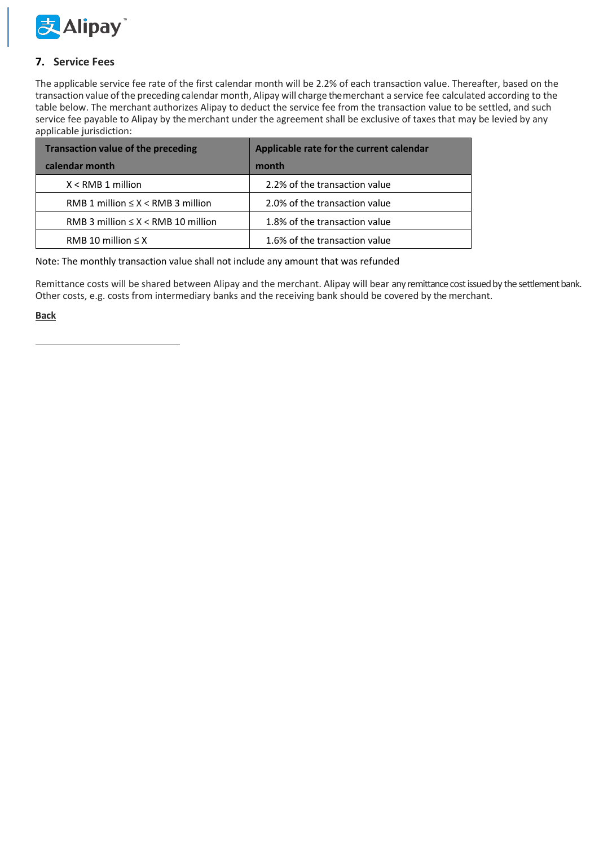

## <span id="page-8-0"></span>**7. Service Fees**

The applicable service fee rate of the first calendar month will be 2.2% of each transaction value. Thereafter, based on the transaction value of the preceding calendar month, Alipay will charge themerchant a service fee calculated according to the table below. The merchant authorizes Alipay to deduct the service fee from the transaction value to be settled, and such service fee payable to Alipay by the merchant under the agreement shall be exclusive of taxes that may be levied by any applicable jurisdiction:

| <b>Transaction value of the preceding</b>   | Applicable rate for the current calendar |
|---------------------------------------------|------------------------------------------|
| calendar month                              | month                                    |
| $X <$ RMB 1 million                         | 2.2% of the transaction value            |
| RMB 1 million $\leq$ X $\lt$ RMB 3 million  | 2.0% of the transaction value            |
| RMB 3 million $\leq$ X $\lt$ RMB 10 million | 1.8% of the transaction value            |
| RMB 10 million $\leq$ X                     | 1.6% of the transaction value            |

Note: The monthly transaction value shall not include any amount that was refunded

Remittance costs will be shared between Alipay and the merchant. Alipay will bear any remittance cost issued by the settlement bank. Other costs, e.g. costs from intermediary banks and the receiving bank should be covered by the merchant.

**[Back](#page-1-0)**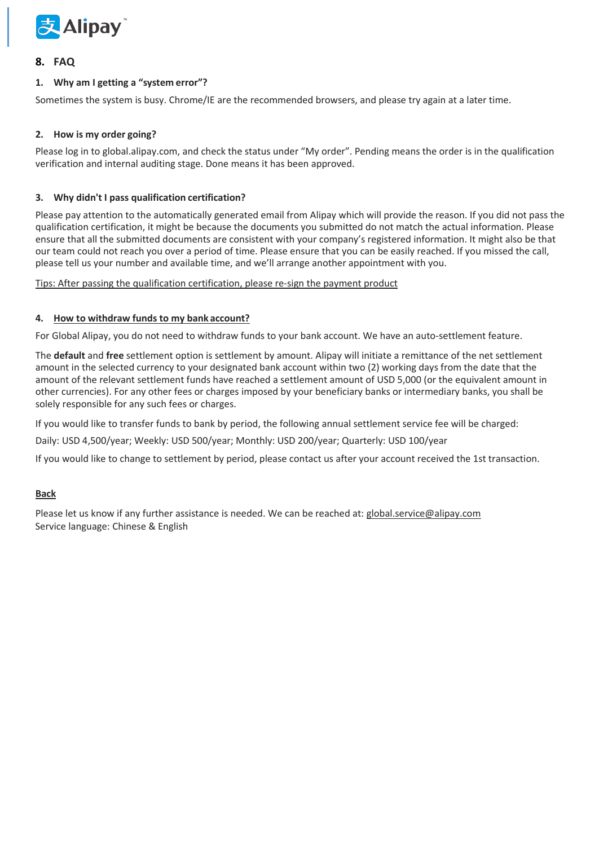

## <span id="page-9-0"></span>**8. FAQ**

#### **1. Why am I getting a "system error"?**

Sometimes the system is busy. Chrome/IE are the recommended browsers, and please try again at a later time.

#### **2. How is my order going?**

Please log in to global.alipay.com, and check the status under "My order". Pending means the order is in the qualification verification and internal auditing stage. Done means it has been approved.

#### **3. Why didn't I pass qualification certification?**

Please pay attention to the automatically generated email from Alipay which will provide the reason. If you did not pass the qualification certification, it might be because the documents you submitted do not match the actual information. Please ensure that all the submitted documents are consistent with your company's registered information. It might also be that our team could not reach you over a period of time. Please ensure that you can be easily reached. If you missed the call, please tell us your number and available time, and we'll arrange another appointment with you.

Tips: After passing the qualification certification, please re-sign the payment product

#### **4. How to withdraw funds to my bank account?**

For Global Alipay, you do not need to withdraw funds to your bank account. We have an auto-settlement feature.

The **default** and **free** settlement option is settlement by amount. Alipay will initiate a remittance of the net settlement amount in the selected currency to your designated bank account within two (2) working days from the date that the amount of the relevant settlement funds have reached a settlement amount of USD 5,000 (or the equivalent amount in other currencies). For any other fees or charges imposed by your beneficiary banks or intermediary banks, you shall be solely responsible for any such fees or charges.

If you would like to transfer funds to bank by period, the following annual settlement service fee will be charged:

Daily: USD 4,500/year; Weekly: USD 500/year; Monthly: USD 200/year; Quarterly: USD 100/year

If you would like to change to settlement by period, please contact us after your account received the 1st transaction.

#### **[Back](#page-1-0)**

Please let us know if any further assistance is needed. We can be reached at: [global.service@alipay.com](mailto:global.service@alipay.com) Service language: Chinese & English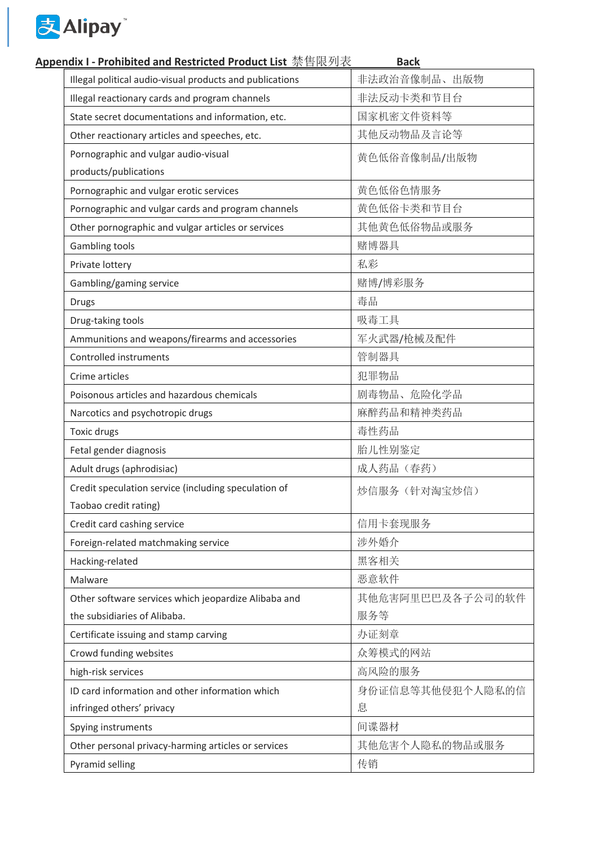

## **Appendix I - Prohibited and Restricted Product List** 禁售限列表 **[Back](#page-1-0)**

<span id="page-10-0"></span>

| Illegal political audio-visual products and publications | 非法政治音像制品、出版物     |
|----------------------------------------------------------|------------------|
| Illegal reactionary cards and program channels           | 非法反动卡类和节目台       |
| State secret documentations and information, etc.        | 国家机密文件资料等        |
| Other reactionary articles and speeches, etc.            | 其他反动物品及言论等       |
| Pornographic and vulgar audio-visual                     | 黄色低俗音像制品/出版物     |
| products/publications                                    |                  |
| Pornographic and vulgar erotic services                  | 黄色低俗色情服务         |
| Pornographic and vulgar cards and program channels       | 黄色低俗卡类和节目台       |
| Other pornographic and vulgar articles or services       | 其他黄色低俗物品或服务      |
| Gambling tools                                           | 赌博器具             |
| Private lottery                                          | 私彩               |
| Gambling/gaming service                                  | 赌博/博彩服务          |
| <b>Drugs</b>                                             | 毒品               |
| Drug-taking tools                                        | 吸毒工具             |
| Ammunitions and weapons/firearms and accessories         | 军火武器/枪械及配件       |
| Controlled instruments                                   | 管制器具             |
| Crime articles                                           | 犯罪物品             |
| Poisonous articles and hazardous chemicals               | 剧毒物品、危险化学品       |
| Narcotics and psychotropic drugs                         | 麻醉药品和精神类药品       |
| Toxic drugs                                              | 毒性药品             |
| Fetal gender diagnosis                                   | 胎儿性别鉴定           |
| Adult drugs (aphrodisiac)                                | 成人药品(春药)         |
| Credit speculation service (including speculation of     | 炒信服务(针对淘宝炒信)     |
| Taobao credit rating)                                    |                  |
| Credit card cashing service                              | 信用卡套现服务          |
| Foreign-related matchmaking service                      | 涉外婚介             |
| Hacking-related                                          | 黑客相关             |
| Malware                                                  | 恶意软件             |
| Other software services which jeopardize Alibaba and     | 其他危害阿里巴巴及各子公司的软件 |
| the subsidiaries of Alibaba.                             | 服务等              |
| Certificate issuing and stamp carving                    | 办证刻章             |
| Crowd funding websites                                   | 众筹模式的网站          |
| high-risk services                                       | 高风险的服务           |
| ID card information and other information which          | 身份证信息等其他侵犯个人隐私的信 |
| infringed others' privacy                                | 息                |
| Spying instruments                                       | 间谍器材             |
| Other personal privacy-harming articles or services      | 其他危害个人隐私的物品或服务   |
| Pyramid selling                                          | 传销               |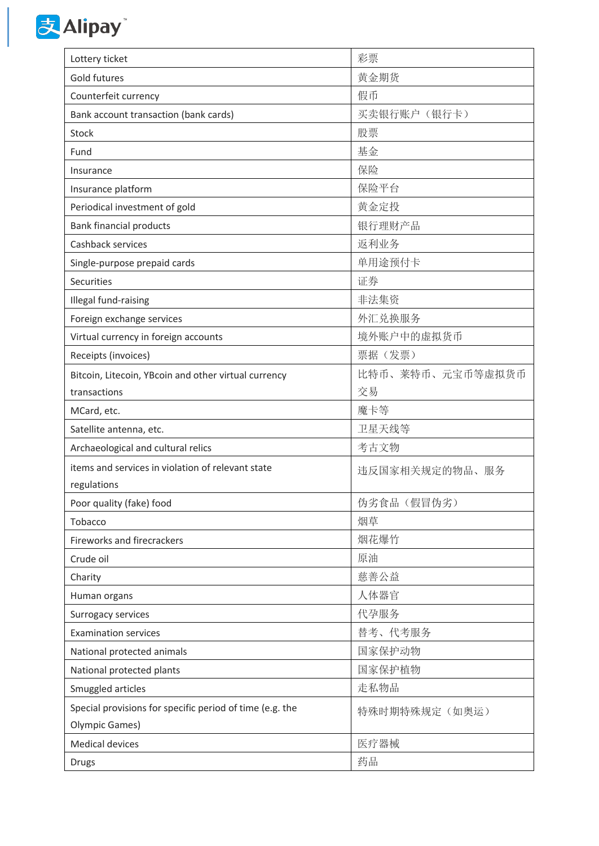

| Lottery ticket                                           | 彩票               |
|----------------------------------------------------------|------------------|
| Gold futures                                             | 黄金期货             |
| Counterfeit currency                                     | 假币               |
| Bank account transaction (bank cards)                    | 买卖银行账户 (银行卡)     |
| Stock                                                    | 股票               |
| Fund                                                     | 基金               |
| Insurance                                                | 保险               |
| Insurance platform                                       | 保险平台             |
| Periodical investment of gold                            | 黄金定投             |
| <b>Bank financial products</b>                           | 银行理财产品           |
| Cashback services                                        | 返利业务             |
| Single-purpose prepaid cards                             | 单用途预付卡           |
| Securities                                               | 证券               |
| Illegal fund-raising                                     | 非法集资             |
| Foreign exchange services                                | 外汇兑换服务           |
| Virtual currency in foreign accounts                     | 境外账户中的虚拟货币       |
| Receipts (invoices)                                      | 票据(发票)           |
| Bitcoin, Litecoin, YBcoin and other virtual currency     | 比特币、莱特币、元宝币等虚拟货币 |
| transactions                                             | 交易               |
| MCard, etc.                                              | 魔卡等              |
| Satellite antenna, etc.                                  | 卫星天线等            |
| Archaeological and cultural relics                       | 考古文物             |
| items and services in violation of relevant state        | 违反国家相关规定的物品、服务   |
| regulations                                              |                  |
| Poor quality (fake) food                                 | 伪劣食品(假冒伪劣)       |
| Tobacco                                                  | 烟草               |
| <b>Fireworks and firecrackers</b>                        | 烟花爆竹             |
| Crude oil                                                | 原油               |
| Charity                                                  | 慈善公益             |
| Human organs                                             | 人体器官             |
| Surrogacy services                                       | 代孕服务             |
| <b>Examination services</b>                              | 替考、代考服务          |
| National protected animals                               | 国家保护动物           |
| National protected plants                                | 国家保护植物           |
| Smuggled articles                                        | 走私物品             |
| Special provisions for specific period of time (e.g. the | 特殊时期特殊规定(如奥运)    |
| <b>Olympic Games)</b>                                    |                  |
| <b>Medical devices</b>                                   | 医疗器械             |
| <b>Drugs</b>                                             | 药品               |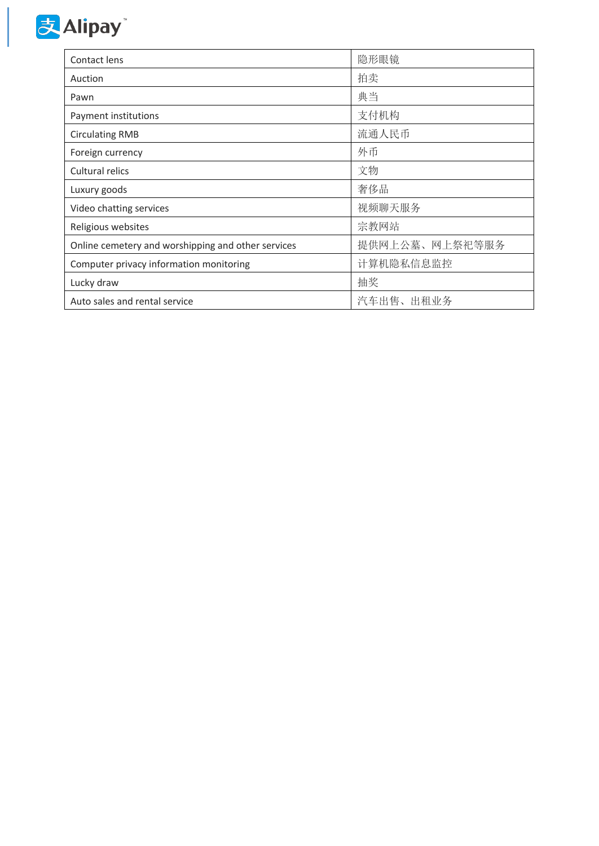

| Contact lens                                       | 隐形眼镜           |
|----------------------------------------------------|----------------|
| Auction                                            | 拍卖             |
| Pawn                                               | 典当             |
| Payment institutions                               | 支付机构           |
| <b>Circulating RMB</b>                             | 流通人民币          |
| Foreign currency                                   | 外币             |
| Cultural relics                                    | 文物             |
| Luxury goods                                       | 奢侈品            |
| Video chatting services                            | 视频聊天服务         |
| Religious websites                                 | 宗教网站           |
| Online cemetery and worshipping and other services | 提供网上公墓、网上祭祀等服务 |
| Computer privacy information monitoring            | 计算机隐私信息监控      |
| Lucky draw                                         | 抽奖             |
| Auto sales and rental service                      | 汽车出售、出租业务      |